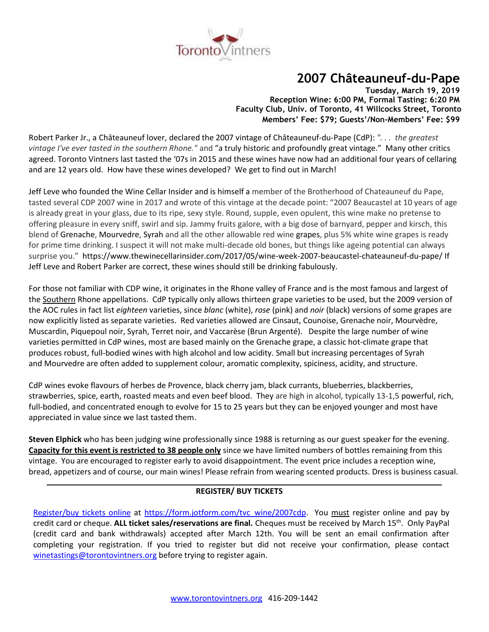

# **2007 Châteauneuf-du-Pape**

**Tuesday, March 19, 2019 Reception Wine: 6:00 PM, Formal Tasting: 6:20 PM Faculty Club, Univ. of Toronto, 41 Willcocks Street, Toronto Members' Fee: \$79; Guests'/Non-Members' Fee: \$99**

Robert Parker Jr., a Châteauneuf lover, declared the 2007 vintage of Châteauneuf-du-Pape (CdP): *". . . the greatest vintage I've ever tasted in the southern Rhone."* and "a truly historic and profoundly great vintage." Many other critics agreed. Toronto Vintners last tasted the '07s in 2015 and these wines have now had an additional four years of cellaring and are 12 years old. How have these wines developed? We get to find out in March!

Jeff Leve who founded the Wine Cellar Insider and is himself a member of the Brotherhood of Chateauneuf du Pape, tasted several CDP 2007 wine in 2017 and wrote of this vintage at the decade point: "2007 Beaucastel at 10 years of age is already great in your glass, due to its ripe, sexy style. Round, supple, even opulent, this wine make no pretense to offering pleasure in every sniff, swirl and sip. Jammy fruits galore, with a big dose of barnyard, pepper and kirsch, this blend of Grenache, Mourvedre, Syrah and all the other allowable red wine grapes, plus 5% white wine grapes is ready for prime time drinking. I suspect it will not make multi-decade old bones, but things like ageing potential can always surprise you." https://www.thewinecellarinsider.com/2017/05/wine-week-2007-beaucastel-chateauneuf-du-pape/ If Jeff Leve and Robert Parker are correct, these wines should still be drinking fabulously.

For those not familiar with CDP wine, it originates in the Rhone valley of France and is the most famous and largest of the Southern Rhone appellations. CdP typically only allows thirteen [grape](http://en.wikipedia.org/wiki/Grape) [varieties](http://en.wikipedia.org/wiki/Variety_(botany)) to be used, but the 2009 version of the AOC rules in fact list *eighteen* varieties, since *blanc* (white), *rose* (pink) and *noir* (black) versions of some grapes are now explicitly listed as separate varieties. Red varieties allowed are [Cinsaut,](http://en.wikipedia.org/wiki/Cinsaut) [Counoise,](http://en.wikipedia.org/wiki/Counoise) [Grenache noir,](http://en.wikipedia.org/wiki/Grenache_noir) [Mourvèdre,](http://en.wikipedia.org/wiki/Mourv%C3%A8dre) [Muscardin,](http://en.wikipedia.org/wiki/Muscardin) [Piquepoul noir,](http://en.wikipedia.org/wiki/Piquepoul_noir) [Syrah,](http://en.wikipedia.org/wiki/Syrah) [Terret noir,](http://en.wikipedia.org/wiki/Terret_noir) and [Vaccarèse](http://en.wikipedia.org/wiki/Vaccar%C3%A8se) (Brun Argenté). Despite the large number of wine varieties permitted in CdP wines, most are based mainly on the [Grenache](http://www.wineaccess.com/wine/grape/grenache) grape, a classic hot-climate grape that produces robust, full-bodied wines with high alcohol and low acidity. Small but increasing percentages of Syrah and [Mourvedre](http://www.wineaccess.com/wine/grape/mourvedre) are often added to supplement colour, aromatic complexity, spiciness, acidity, and structure.

CdP wines evoke flavours of herbes de Provence, black cherry jam, black currants, blueberries, blackberries, strawberries, spice, earth, roasted meats and even beef blood. They are high in alcohol, typically 13-1,5 powerful, rich, full-bodied, and concentrated enough to evolve for 15 to 25 years but they can be enjoyed younger and most have appreciated in value since we last tasted them.

**Steven Elphick** who has been judging wine professionally since 1988 is returning as our guest speaker for the evening. **Capacity for this event is restricted to 38 people only** since we have limited numbers of bottles remaining from this vintage. You are encouraged to register early to avoid disappointment. The event price includes a reception wine, bread, appetizers and of course, our main wines! Please refrain from wearing scented products. Dress is business casual.

## **REGISTER/ BUY TICKETS**

[Register/buy tickets online](https://form.jotform.com/tvc_wine/2007cdp) at [https://form.jotform.com/tvc\\_wine/2007cdp.](https://form.jotform.com/tvc_wine/2007cdp) You must register online and pay by credit card or cheque. **ALL ticket sales/reservations are final.** Cheques must be received by March 15th. Only PayPal (credit card and bank withdrawals) accepted after March 12th. You will be sent an email confirmation after completing your registration. If you tried to register but did not receive your confirmation, please contact [winetastings@torontovintners.org](mailto:winetastings@torontovintners.org) before trying to register again.